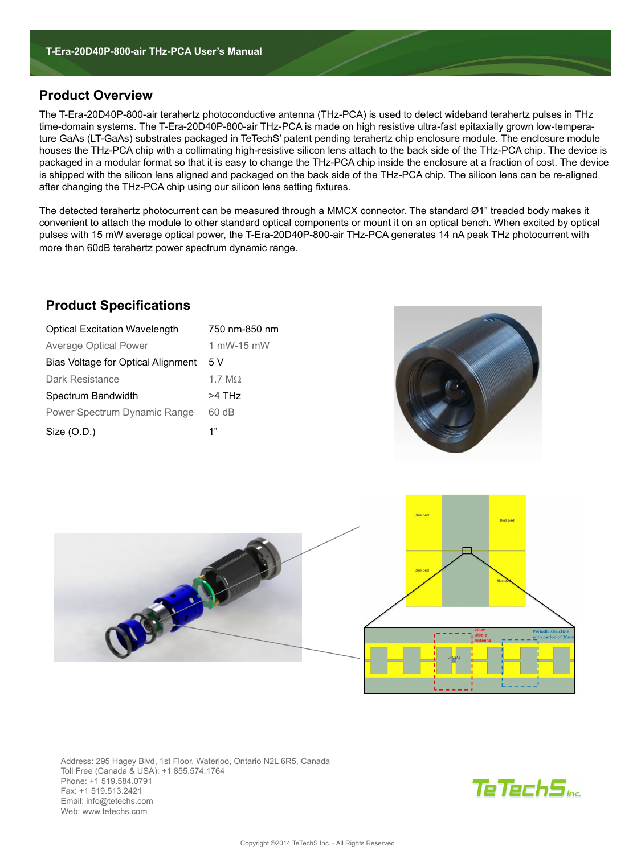# **Product Overview**

The T-Era-20D40P-800-air terahertz photoconductive antenna (THz-PCA) is used to detect wideband terahertz pulses in THz time-domain systems. The T-Era-20D40P-800-air THz-PCA is made on high resistive ultra-fast epitaxially grown low-temperature GaAs (LT-GaAs) substrates packaged in TeTechS' patent pending terahertz chip enclosure module. The enclosure module houses the THz-PCA chip with a collimating high-resistive silicon lens attach to the back side of the THz-PCA chip. The device is packaged in a modular format so that it is easy to change the THz-PCA chip inside the enclosure at a fraction of cost. The device is shipped with the silicon lens aligned and packaged on the back side of the THz-PCA chip. The silicon lens can be re-aligned after changing the THz-PCA chip using our silicon lens setting fixtures.

The detected terahertz photocurrent can be measured through a MMCX connector. The standard Ø1" treaded body makes it convenient to attach the module to other standard optical components or mount it on an optical bench. When excited by optical pulses with 15 mW average optical power, the T-Era-20D40P-800-air THz-PCA generates 14 nA peak THz photocurrent with more than 60dB terahertz power spectrum dynamic range.

# **Product Specifications**

| <b>Optical Excitation Wavelength</b>      | 750 nm-850 nm  |
|-------------------------------------------|----------------|
| <b>Average Optical Power</b>              | 1 mW-15 mW     |
| <b>Bias Voltage for Optical Alignment</b> | 5 V            |
| <b>Dark Resistance</b>                    | 1.7 M $\Omega$ |
| Spectrum Bandwidth                        | >4 THz         |
| <b>Power Spectrum Dynamic Range</b>       | 60 dB          |
| Size $(O.D.)$                             | 1"             |





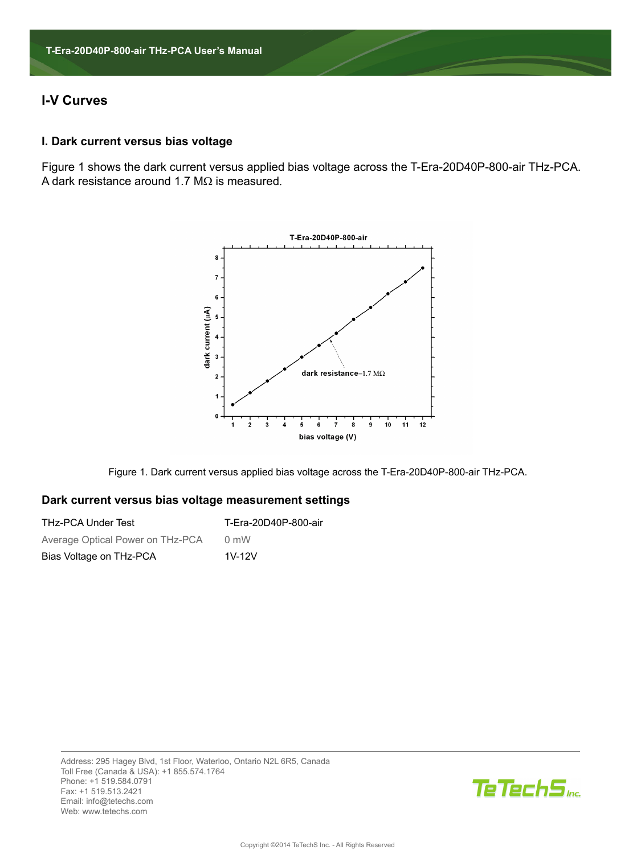# **I-V Curves**

## **I. Dark current versus bias voltage**

Figure 1 shows the dark current versus applied bias voltage across the T-Era-20D40P-800-air THz-PCA. A dark resistance around 1.7 M $\Omega$  is measured.



Figure 1. Dark current versus applied bias voltage across the T-Era-20D40P-800-air THz-PCA.

#### **Dark current versus bias voltage measurement settings**

| <b>THz-PCA Under Test</b>        | T-Era-20D40P-800-air |
|----------------------------------|----------------------|
| Average Optical Power on THz-PCA | $0 \text{ mW}$       |
| Bias Voltage on THz-PCA          | $1V-12V$             |

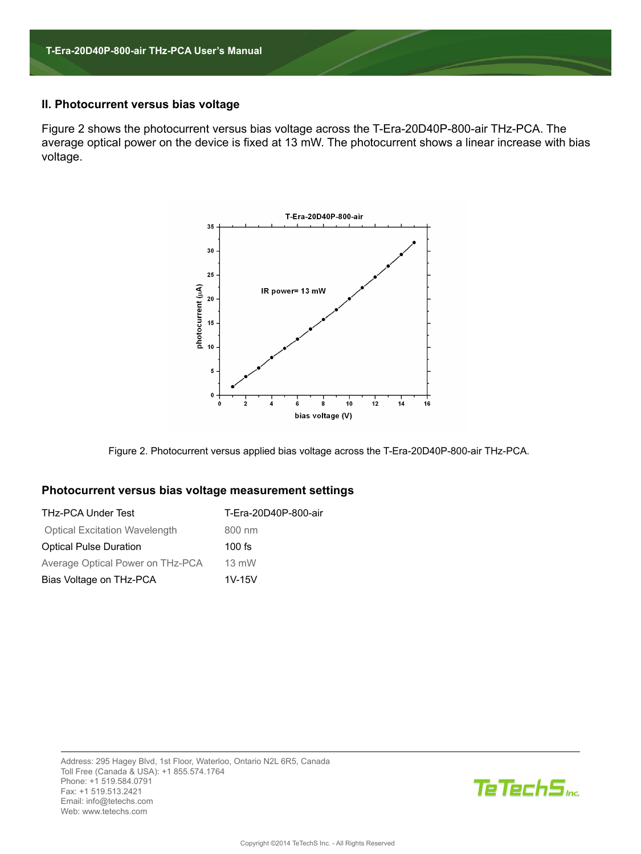### **II. Photocurrent versus bias voltage**

Figure 2 shows the photocurrent versus bias voltage across the T-Era-20D40P-800-air THz-PCA. The average optical power on the device is fixed at 13 mW. The photocurrent shows a linear increase with bias voltage.



Figure 2. Photocurrent versus applied bias voltage across the T-Era-20D40P-800-air THz-PCA.

## **Photocurrent versus bias voltage measurement settings**

| <b>THz-PCA Under Test</b>            | T-Era-20D40P-800-air |
|--------------------------------------|----------------------|
| <b>Optical Excitation Wavelength</b> | 800 nm               |
| <b>Optical Pulse Duration</b>        | $100$ fs             |
| Average Optical Power on THz-PCA     | $13$ mW              |
| Bias Voltage on THz-PCA              | $1V-15V$             |

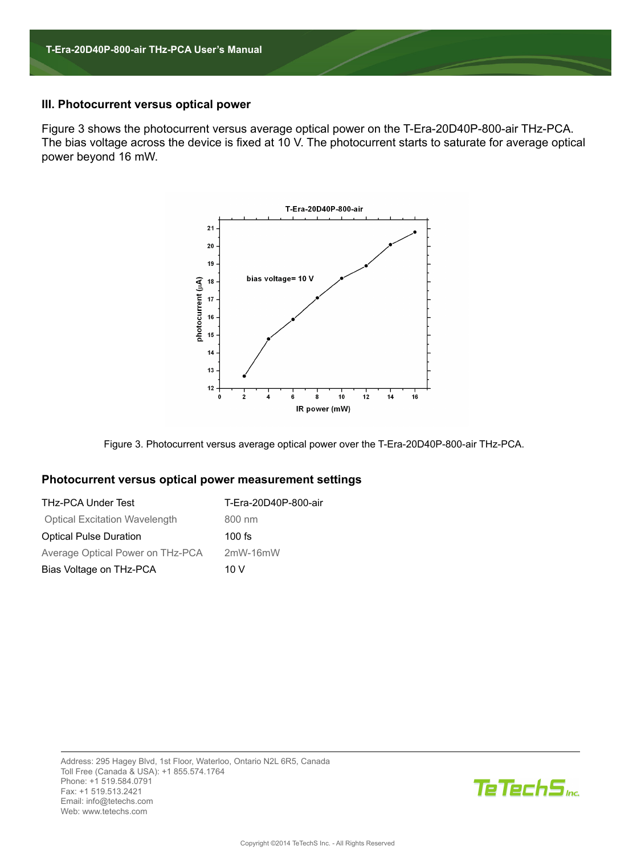#### **III. Photocurrent versus optical power**

Figure 3 shows the photocurrent versus average optical power on the T-Era-20D40P-800-air THz-PCA. The bias voltage across the device is fixed at 10 V. The photocurrent starts to saturate for average optical power beyond 16 mW.



Figure 3. Photocurrent versus average optical power over the T-Era-20D40P-800-air THz-PCA.

#### **Photocurrent versus optical power measurement settings**

| <b>THz-PCA Under Test</b>            | T-Era-20D40P-800-air |
|--------------------------------------|----------------------|
| <b>Optical Excitation Wavelength</b> | 800 nm               |
| <b>Optical Pulse Duration</b>        | $100$ fs             |
| Average Optical Power on THz-PCA     | $2mW-16mW$           |
| Bias Voltage on THz-PCA              | 10 V                 |

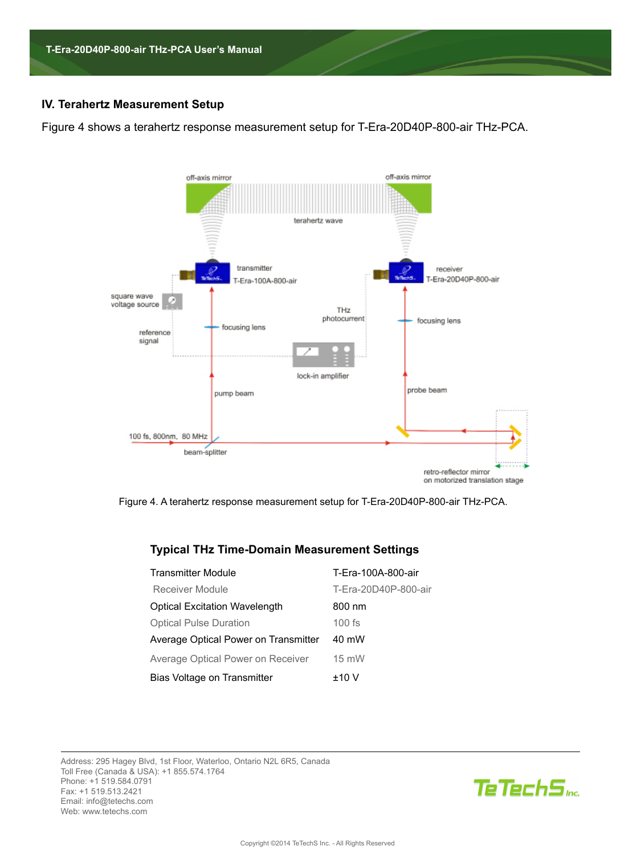# **IV. Terahertz Measurement Setup**

Figure 4 shows a terahertz response measurement setup for T-Era-20D40P-800-air THz-PCA.



Figure 4. A terahertz response measurement setup for T-Era-20D40P-800-air THz-PCA.

# **Typical THz Time-Domain Measurement Settings**

| <b>Transmitter Module</b>                | T-Era-100A-800-air   |
|------------------------------------------|----------------------|
| <b>Receiver Module</b>                   | T-Era-20D40P-800-air |
| <b>Optical Excitation Wavelength</b>     | 800 nm               |
| <b>Optical Pulse Duration</b>            | $100$ fs             |
| Average Optical Power on Transmitter     | 40 mW                |
| <b>Average Optical Power on Receiver</b> | 15 mW                |
| Bias Voltage on Transmitter              | ±10V                 |

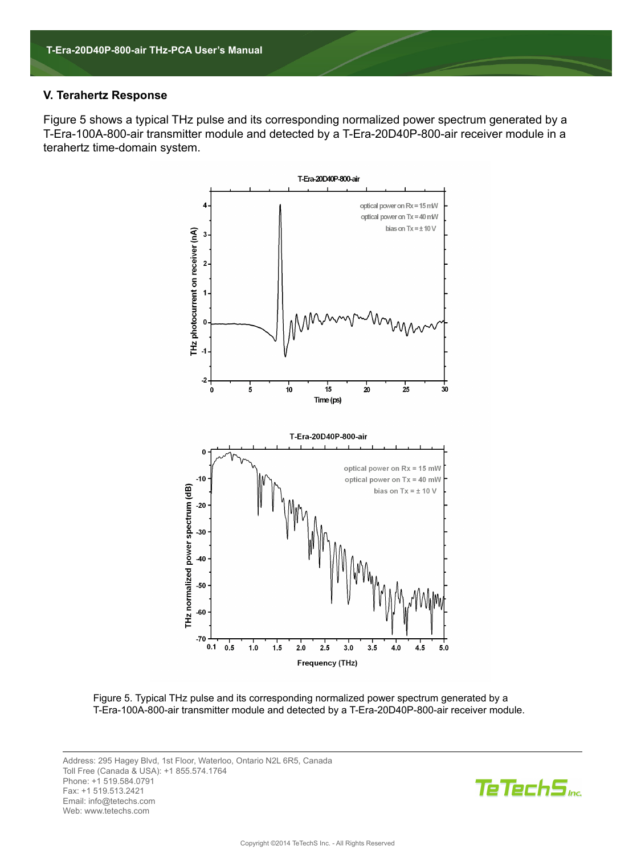#### **V. Terahertz Response**

Figure 5 shows a typical THz pulse and its corresponding normalized power spectrum generated by a T-Era-100A-800-air transmitter module and detected by a T-Era-20D40P-800-air receiver module in a terahertz time-domain system.



Figure 5. Typical THz pulse and its corresponding normalized power spectrum generated by a T-Era-100A-800-air transmitter module and detected by a T-Era-20D40P-800-air receiver module.